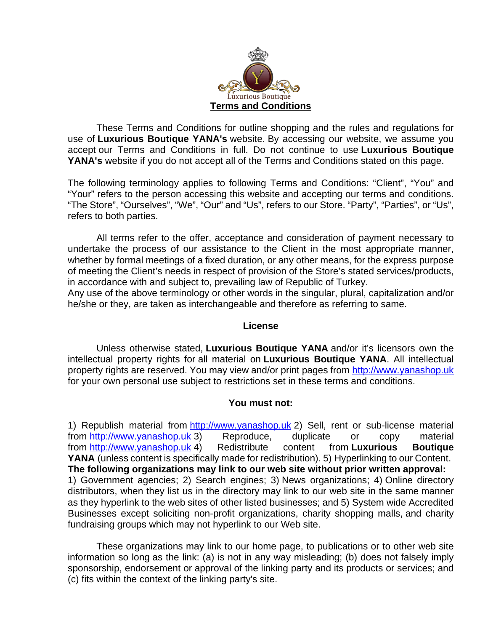

These Terms and Conditions for outline shopping and the rules and regulations for use of **Luxurious Boutique YANA's** website. By accessing our website, we assume you accept our Terms and Conditions in full. Do not continue to use **Luxurious Boutique YANA's** website if you do not accept all of the Terms and Conditions stated on this page.

The following terminology applies to following Terms and Conditions: "Client", "You" and "Your" refers to the person accessing this website and accepting our terms and conditions. "The Store", "Ourselves", "We", "Our" and "Us", refers to our Store. "Party", "Parties", or "Us", refers to both parties.

All terms refer to the offer, acceptance and consideration of payment necessary to undertake the process of our assistance to the Client in the most appropriate manner, whether by formal meetings of a fixed duration, or any other means, for the express purpose of meeting the Client's needs in respect of provision of the Store's stated services/products, in accordance with and subject to, prevailing law of Republic of Turkey.

Any use of the above terminology or other words in the singular, plural, capitalization and/or he/she or they, are taken as interchangeable and therefore as referring to same.

## **License**

Unless otherwise stated, **Luxurious Boutique YANA** and/or it's licensors own the intellectual property rights for all material on **Luxurious Boutique YANA**. All intellectual property rights are reserved. You may view and/or print pages from [http://www.yanashop.uk](http://www.yanashop.uk/) for your own personal use subject to restrictions set in these terms and conditions.

## **You must not:**

1) Republish material from [http://www.yanashop.uk](http://www.yanashop.uk/) 2) Sell, rent or sub-license material from [http://www.yanashop.uk](http://www.yanashop.uk/) 3) Reproduce, duplicate or copy material from [http://www.yanashop.uk](http://www.yanashop.uk/) 4) Redistribute content from **Luxurious Boutique YANA** (unless content is specifically made for redistribution). 5) Hyperlinking to our Content. **The following organizations may link to our web site without prior written approval:** 1) Government agencies; 2) Search engines; 3) News organizations; 4) Online directory distributors, when they list us in the directory may link to our web site in the same manner as they hyperlink to the web sites of other listed businesses; and 5) System wide Accredited Businesses except soliciting non-profit organizations, charity shopping malls, and charity fundraising groups which may not hyperlink to our Web site.

These organizations may link to our home page, to publications or to other web site information so long as the link: (a) is not in any way misleading; (b) does not falsely imply sponsorship, endorsement or approval of the linking party and its products or services; and (c) fits within the context of the linking party's site.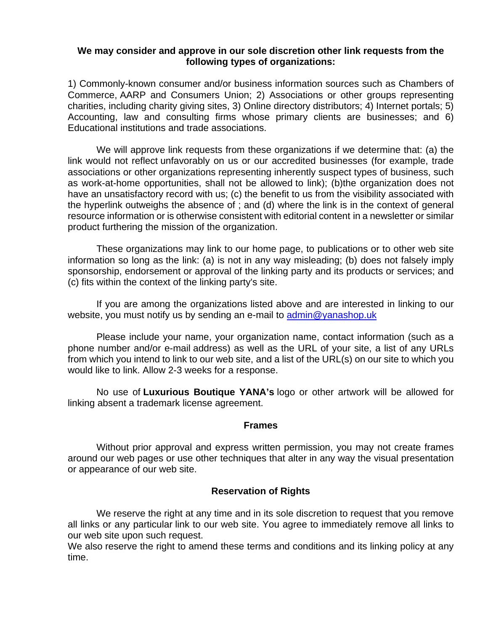### **We may consider and approve in our sole discretion other link requests from the following types of organizations:**

1) Commonly-known consumer and/or business information sources such as Chambers of Commerce, AARP and Consumers Union; 2) Associations or other groups representing charities, including charity giving sites, 3) Online directory distributors; 4) Internet portals; 5) Accounting, law and consulting firms whose primary clients are businesses; and 6) Educational institutions and trade associations.

We will approve link requests from these organizations if we determine that: (a) the link would not reflect unfavorably on us or our accredited businesses (for example, trade associations or other organizations representing inherently suspect types of business, such as work-at-home opportunities, shall not be allowed to link); (b)the organization does not have an unsatisfactory record with us; (c) the benefit to us from the visibility associated with the hyperlink outweighs the absence of ; and (d) where the link is in the context of general resource information or is otherwise consistent with editorial content in a newsletter or similar product furthering the mission of the organization.

These organizations may link to our home page, to publications or to other web site information so long as the link: (a) is not in any way misleading; (b) does not falsely imply sponsorship, endorsement or approval of the linking party and its products or services; and (c) fits within the context of the linking party's site.

If you are among the organizations listed above and are interested in linking to our website, you must notify us by sending an e-mail to admin@yanashop.uk

Please include your name, your organization name, contact information (such as a phone number and/or e-mail address) as well as the URL of your site, a list of any URLs from which you intend to link to our web site, and a list of the URL(s) on our site to which you would like to link. Allow 2-3 weeks for a response.

No use of **Luxurious Boutique YANA's** logo or other artwork will be allowed for linking absent a trademark license agreement.

### **Frames**

Without prior approval and express written permission, you may not create frames around our web pages or use other techniques that alter in any way the visual presentation or appearance of our web site.

### **Reservation of Rights**

We reserve the right at any time and in its sole discretion to request that you remove all links or any particular link to our web site. You agree to immediately remove all links to our web site upon such request.

We also reserve the right to amend these terms and conditions and its linking policy at any time.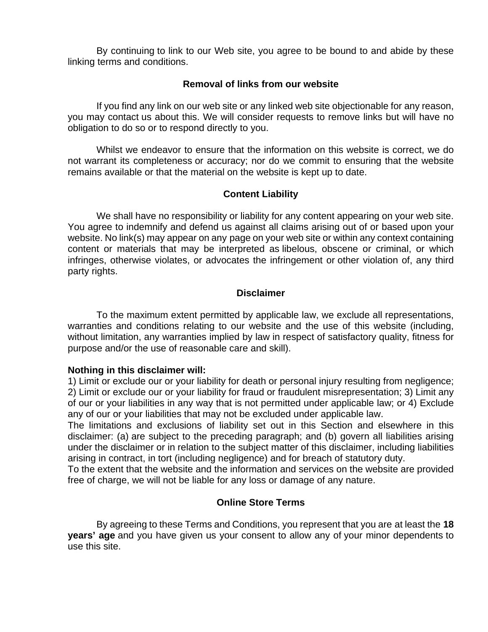By continuing to link to our Web site, you agree to be bound to and abide by these linking terms and conditions.

### **Removal of links from our website**

If you find any link on our web site or any linked web site objectionable for any reason, you may contact us about this. We will consider requests to remove links but will have no obligation to do so or to respond directly to you.

Whilst we endeavor to ensure that the information on this website is correct, we do not warrant its completeness or accuracy; nor do we commit to ensuring that the website remains available or that the material on the website is kept up to date.

# **Content Liability**

We shall have no responsibility or liability for any content appearing on your web site. You agree to indemnify and defend us against all claims arising out of or based upon your website. No link(s) may appear on any page on your web site or within any context containing content or materials that may be interpreted as libelous, obscene or criminal, or which infringes, otherwise violates, or advocates the infringement or other violation of, any third party rights.

## **Disclaimer**

To the maximum extent permitted by applicable law, we exclude all representations, warranties and conditions relating to our website and the use of this website (including, without limitation, any warranties implied by law in respect of satisfactory quality, fitness for purpose and/or the use of reasonable care and skill).

## **Nothing in this disclaimer will:**

1) Limit or exclude our or your liability for death or personal injury resulting from negligence; 2) Limit or exclude our or your liability for fraud or fraudulent misrepresentation; 3) Limit any of our or your liabilities in any way that is not permitted under applicable law; or 4) Exclude any of our or your liabilities that may not be excluded under applicable law.

The limitations and exclusions of liability set out in this Section and elsewhere in this disclaimer: (a) are subject to the preceding paragraph; and (b) govern all liabilities arising under the disclaimer or in relation to the subject matter of this disclaimer, including liabilities arising in contract, in tort (including negligence) and for breach of statutory duty.

To the extent that the website and the information and services on the website are provided free of charge, we will not be liable for any loss or damage of any nature.

## **Online Store Terms**

By agreeing to these Terms and Conditions, you represent that you are at least the **18 years' age** and you have given us your consent to allow any of your minor dependents to use this site.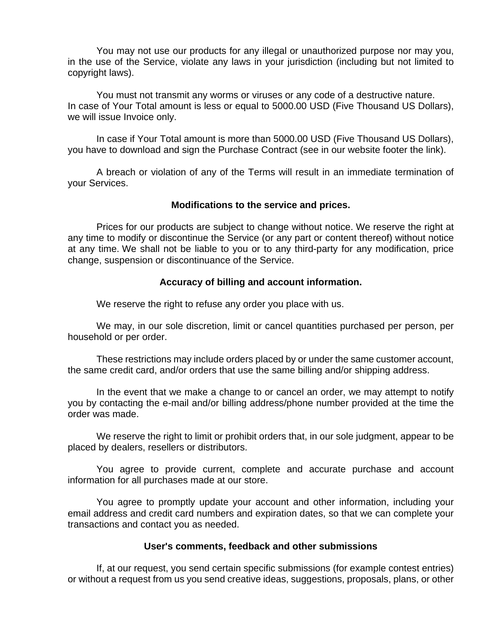You may not use our products for any illegal or unauthorized purpose nor may you, in the use of the Service, violate any laws in your jurisdiction (including but not limited to copyright laws).

You must not transmit any worms or viruses or any code of a destructive nature. In case of Your Total amount is less or equal to 5000.00 USD (Five Thousand US Dollars), we will issue Invoice only.

In case if Your Total amount is more than 5000.00 USD (Five Thousand US Dollars), you have to download and sign the Purchase Contract (see in our website footer the link).

A breach or violation of any of the Terms will result in an immediate termination of your Services.

### **Modifications to the service and prices.**

Prices for our products are subject to change without notice. We reserve the right at any time to modify or discontinue the Service (or any part or content thereof) without notice at any time. We shall not be liable to you or to any third-party for any modification, price change, suspension or discontinuance of the Service.

### **Accuracy of billing and account information.**

We reserve the right to refuse any order you place with us.

We may, in our sole discretion, limit or cancel quantities purchased per person, per household or per order.

These restrictions may include orders placed by or under the same customer account, the same credit card, and/or orders that use the same billing and/or shipping address.

In the event that we make a change to or cancel an order, we may attempt to notify you by contacting the e-mail and/or billing address/phone number provided at the time the order was made.

We reserve the right to limit or prohibit orders that, in our sole judgment, appear to be placed by dealers, resellers or distributors.

You agree to provide current, complete and accurate purchase and account information for all purchases made at our store.

You agree to promptly update your account and other information, including your email address and credit card numbers and expiration dates, so that we can complete your transactions and contact you as needed.

### **User's comments, feedback and other submissions**

If, at our request, you send certain specific submissions (for example contest entries) or without a request from us you send creative ideas, suggestions, proposals, plans, or other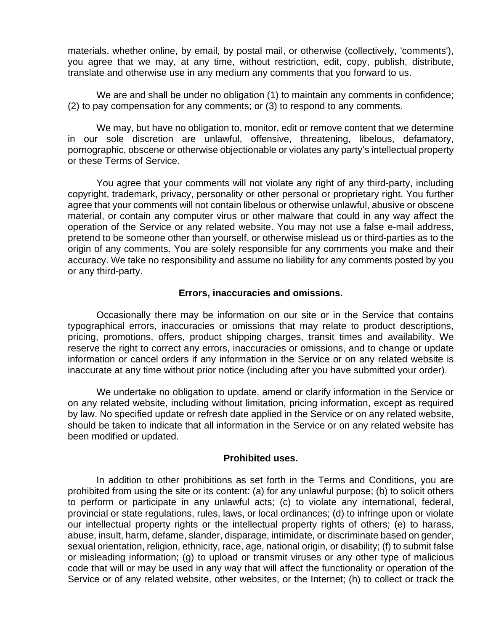materials, whether online, by email, by postal mail, or otherwise (collectively, 'comments'), you agree that we may, at any time, without restriction, edit, copy, publish, distribute, translate and otherwise use in any medium any comments that you forward to us.

We are and shall be under no obligation (1) to maintain any comments in confidence; (2) to pay compensation for any comments; or (3) to respond to any comments.

We may, but have no obligation to, monitor, edit or remove content that we determine in our sole discretion are unlawful, offensive, threatening, libelous, defamatory, pornographic, obscene or otherwise objectionable or violates any party's intellectual property or these Terms of Service.

You agree that your comments will not violate any right of any third-party, including copyright, trademark, privacy, personality or other personal or proprietary right. You further agree that your comments will not contain libelous or otherwise unlawful, abusive or obscene material, or contain any computer virus or other malware that could in any way affect the operation of the Service or any related website. You may not use a false e-mail address, pretend to be someone other than yourself, or otherwise mislead us or third-parties as to the origin of any comments. You are solely responsible for any comments you make and their accuracy. We take no responsibility and assume no liability for any comments posted by you or any third-party.

### **Errors, inaccuracies and omissions.**

Occasionally there may be information on our site or in the Service that contains typographical errors, inaccuracies or omissions that may relate to product descriptions, pricing, promotions, offers, product shipping charges, transit times and availability. We reserve the right to correct any errors, inaccuracies or omissions, and to change or update information or cancel orders if any information in the Service or on any related website is inaccurate at any time without prior notice (including after you have submitted your order).

We undertake no obligation to update, amend or clarify information in the Service or on any related website, including without limitation, pricing information, except as required by law. No specified update or refresh date applied in the Service or on any related website, should be taken to indicate that all information in the Service or on any related website has been modified or updated.

### **Prohibited uses.**

In addition to other prohibitions as set forth in the Terms and Conditions, you are prohibited from using the site or its content: (a) for any unlawful purpose; (b) to solicit others to perform or participate in any unlawful acts; (c) to violate any international, federal, provincial or state regulations, rules, laws, or local ordinances; (d) to infringe upon or violate our intellectual property rights or the intellectual property rights of others; (e) to harass, abuse, insult, harm, defame, slander, disparage, intimidate, or discriminate based on gender, sexual orientation, religion, ethnicity, race, age, national origin, or disability; (f) to submit false or misleading information; (g) to upload or transmit viruses or any other type of malicious code that will or may be used in any way that will affect the functionality or operation of the Service or of any related website, other websites, or the Internet; (h) to collect or track the